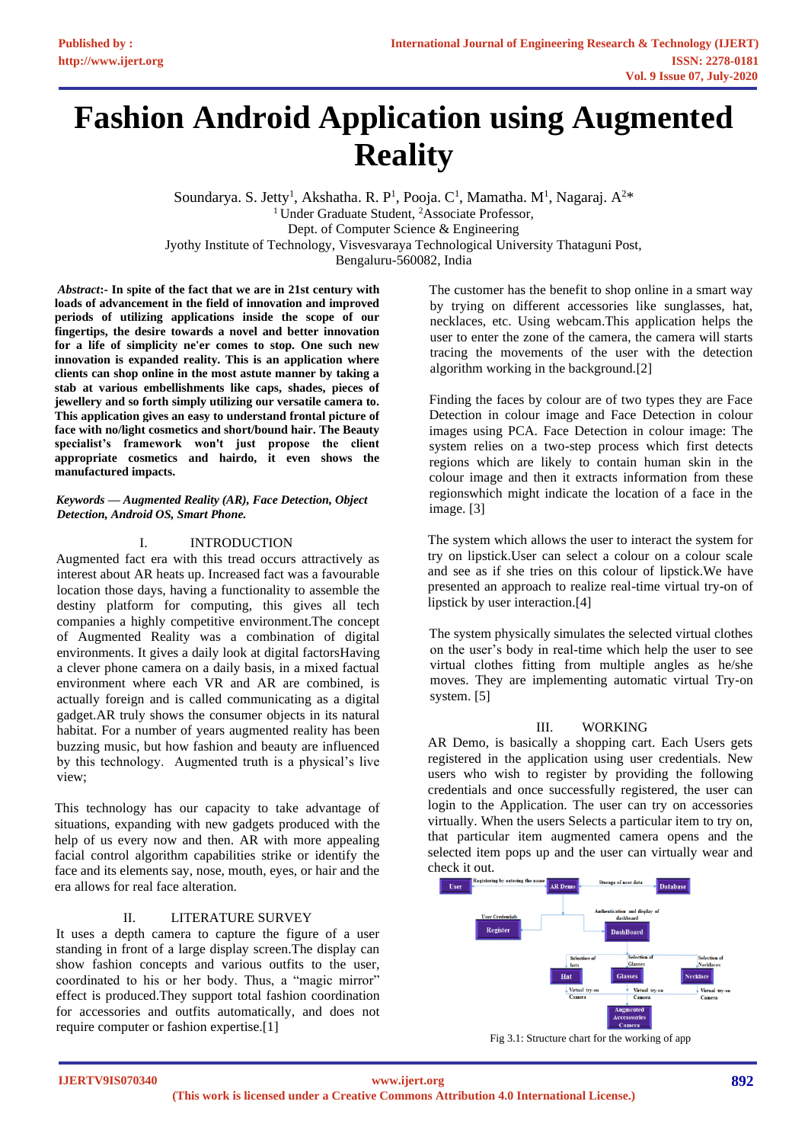# **Fashion Android Application using Augmented Reality**

Soundarya. S. Jetty<sup>1</sup>, Akshatha. R. P<sup>1</sup>, Pooja. C<sup>1</sup>, Mamatha. M<sup>1</sup>, Nagaraj. A<sup>2\*</sup> <sup>1</sup> Under Graduate Student, <sup>2</sup>Associate Professor, Dept. of Computer Science & Engineering Jyothy Institute of Technology, Visvesvaraya Technological University Thataguni Post, Bengaluru-560082, India

*Abstract***:- In spite of the fact that we are in 21st century with loads of advancement in the field of innovation and improved periods of utilizing applications inside the scope of our fingertips, the desire towards a novel and better innovation for a life of simplicity ne'er comes to stop. One such new innovation is expanded reality. This is an application where clients can shop online in the most astute manner by taking a stab at various embellishments like caps, shades, pieces of jewellery and so forth simply utilizing our versatile camera to. This application gives an easy to understand frontal picture of face with no/light cosmetics and short/bound hair. The Beauty specialist's framework won't just propose the client appropriate cosmetics and hairdo, it even shows the manufactured impacts.**

*Keywords — Augmented Reality (AR), Face Detection, Object Detection, Android OS, Smart Phone.*

# I. INTRODUCTION

Augmented fact era with this tread occurs attractively as interest about AR heats up. Increased fact was a favourable location those days, having a functionality to assemble the destiny platform for computing, this gives all tech companies a highly competitive environment.The concept of Augmented Reality was a combination of digital environments. It gives a daily look at digital factorsHaving a clever phone camera on a daily basis, in a mixed factual environment where each VR and AR are combined, is actually foreign and is called communicating as a digital gadget.AR truly shows the consumer objects in its natural habitat. For a number of years augmented reality has been buzzing music, but how fashion and beauty are influenced by this technology. Augmented truth is a physical's live view;

This technology has our capacity to take advantage of situations, expanding with new gadgets produced with the help of us every now and then. AR with more appealing facial control algorithm capabilities strike or identify the face and its elements say, nose, mouth, eyes, or hair and the era allows for real face alteration.

# II. LITERATURE SURVEY

It uses a depth camera to capture the figure of a user standing in front of a large display screen.The display can show fashion concepts and various outfits to the user, coordinated to his or her body. Thus, a "magic mirror" effect is produced.They support total fashion coordination for accessories and outfits automatically, and does not require computer or fashion expertise.[1]

The customer has the benefit to shop online in a smart way by trying on different accessories like sunglasses, hat, necklaces, etc. Using webcam.This application helps the user to enter the zone of the camera, the camera will starts tracing the movements of the user with the detection algorithm working in the background.[2]

Finding the faces by colour are of two types they are Face Detection in colour image and Face Detection in colour images using PCA. Face Detection in colour image: The system relies on a two-step process which first detects regions which are likely to contain human skin in the colour image and then it extracts information from these regionswhich might indicate the location of a face in the image. [3]

The system which allows the user to interact the system for try on lipstick.User can select a colour on a colour scale and see as if she tries on this colour of lipstick.We have presented an approach to realize real-time virtual try-on of lipstick by user interaction.<sup>[4]</sup>

The system physically simulates the selected virtual clothes on the user's body in real-time which help the user to see virtual clothes fitting from multiple angles as he/she moves. They are implementing automatic virtual Try-on system. [5]

### III. WORKING

AR Demo, is basically a shopping cart. Each Users gets registered in the application using user credentials. New users who wish to register by providing the following credentials and once successfully registered, the user can login to the Application. The user can try on accessories virtually. When the users Selects a particular item to try on, that particular item augmented camera opens and the selected item pops up and the user can virtually wear and check it out.



Fig 3.1: Structure chart for the working of app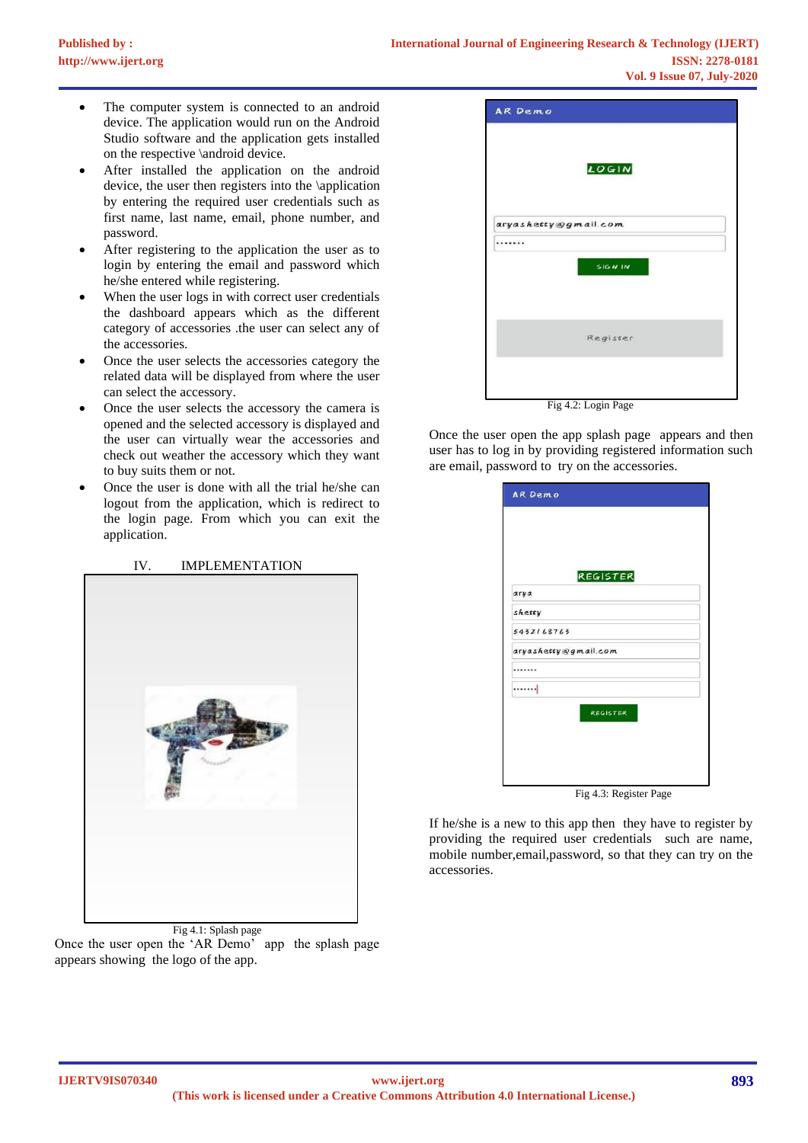- The computer system is connected to an android device. The application would run on the Android Studio software and the application gets installed on the respective \android device.
- After installed the application on the android device, the user then registers into the \application by entering the required user credentials such as first name, last name, email, phone number, and password.
- After registering to the application the user as to login by entering the email and password which he/she entered while registering.
- When the user logs in with correct user credentials the dashboard appears which as the different category of accessories .the user can select any of the accessories.
- Once the user selects the accessories category the related data will be displayed from where the user can select the accessory.
- Once the user selects the accessory the camera is opened and the selected accessory is displayed and the user can virtually wear the accessories and check out weather the accessory which they want to buy suits them or not.
- Once the user is done with all the trial he/she can logout from the application, which is redirect to the login page. From which you can exit the application.

# IV. IMPLEMENTATION



Fig 4.1: Splash page Once the user open the 'AR Demo' app the splash page appears showing the logo of the app.

|                      | LOGIN    |
|----------------------|----------|
| aryashetty@gmail.com |          |
|                      |          |
|                      | SIGN IN  |
|                      | Register |

Fig 4.2: Login Page

Once the user open the app splash page appears and then user has to log in by providing registered information such are email, password to try on the accessories.

| arya       | <b>REGISTER</b>      |  |
|------------|----------------------|--|
| shetty     |                      |  |
| 5432168763 |                      |  |
|            | aryashetty@gmail.com |  |
|            |                      |  |
| . 1        |                      |  |
|            | <b>REGISTER</b>      |  |
|            |                      |  |

If he/she is a new to this app then they have to register by providing the required user credentials such are name, mobile number,email,password, so that they can try on the accessories.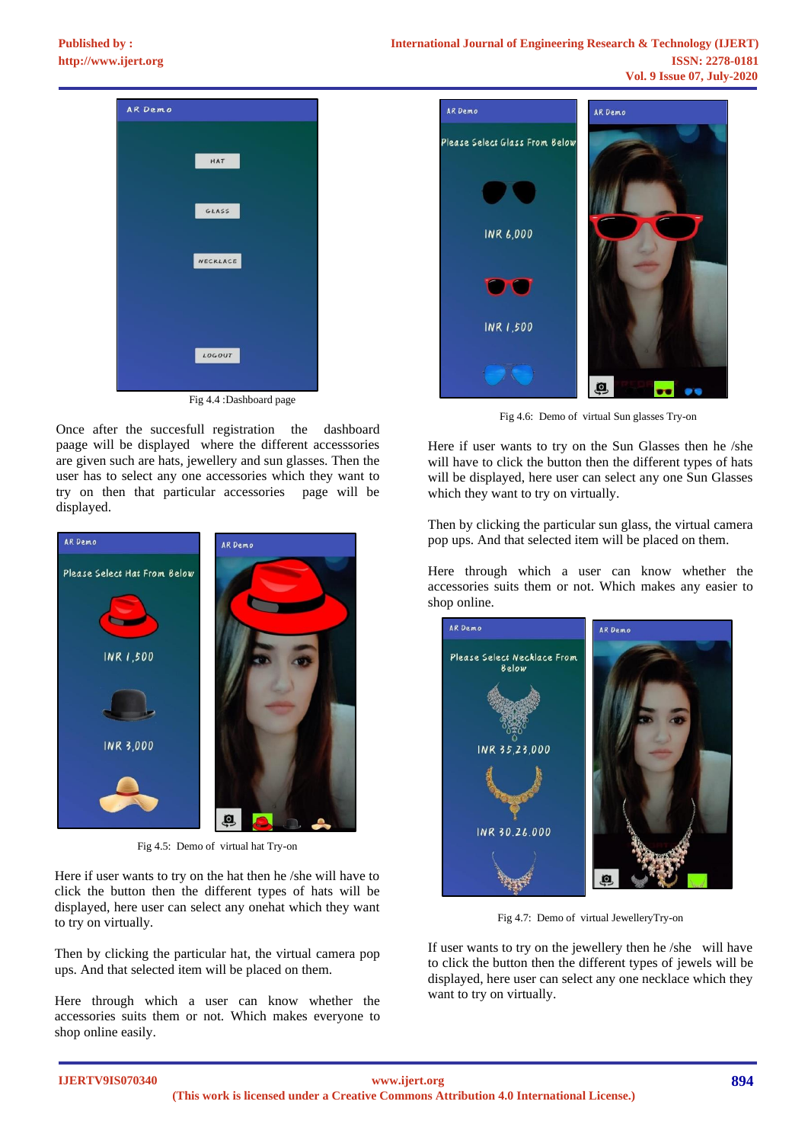

Fig 4.4 :Dashboard page

Once after the succesfull registration the dashboard paage will be displayed where the different accesssories are given such are hats, jewellery and sun glasses. Then the user has to select any one accessories which they want to try on then that particular accessories page will be displayed.



Fig 4.5: Demo of virtual hat Try-on

Here if user wants to try on the hat then he /she will have to click the button then the different types of hats will be displayed, here user can select any onehat which they want to try on virtually.

Then by clicking the particular hat, the virtual camera pop ups. And that selected item will be placed on them.

Here through which a user can know whether the accessories suits them or not. Which makes everyone to shop online easily.



Fig 4.6: Demo of virtual Sun glasses Try-on

Here if user wants to try on the Sun Glasses then he /she will have to click the button then the different types of hats will be displayed, here user can select any one Sun Glasses which they want to try on virtually.

Then by clicking the particular sun glass, the virtual camera pop ups. And that selected item will be placed on them.

Here through which a user can know whether the accessories suits them or not. Which makes any easier to shop online.



Fig 4.7: Demo of virtual JewelleryTry-on

If user wants to try on the jewellery then he /she will have to click the button then the different types of jewels will be displayed, here user can select any one necklace which they want to try on virtually.